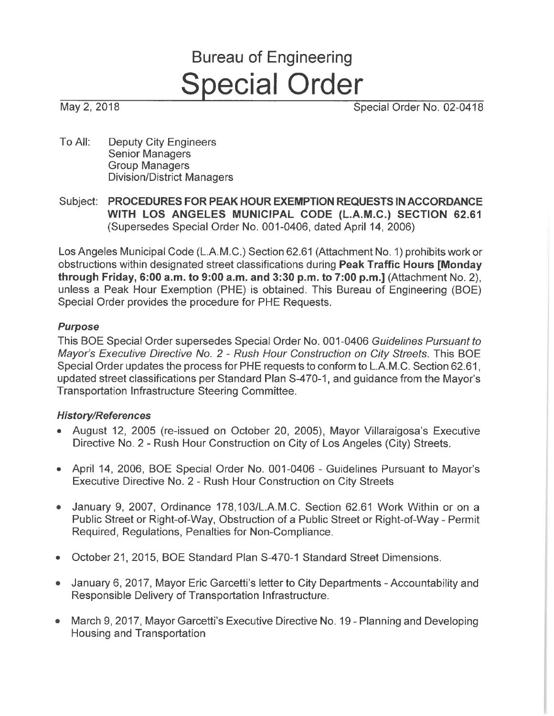# **Bureau of Engineering Special Order**

May 2, 2018

Special Order No. 02-0418

- To All: **Deputy City Engineers Senior Managers Group Managers Division/District Managers**
- Subject: PROCEDURES FOR PEAK HOUR EXEMPTION REQUESTS IN ACCORDANCE WITH LOS ANGELES MUNICIPAL CODE (L.A.M.C.) SECTION 62.61 (Supersedes Special Order No. 001-0406, dated April 14, 2006)

Los Angeles Municipal Code (L.A.M.C.) Section 62.61 (Attachment No. 1) prohibits work or obstructions within designated street classifications during Peak Traffic Hours [Monday through Friday, 6:00 a.m. to 9:00 a.m. and 3:30 p.m. to 7:00 p.m.] (Attachment No. 2). unless a Peak Hour Exemption (PHE) is obtained. This Bureau of Engineering (BOE) Special Order provides the procedure for PHE Requests.

#### **Purpose**

This BOE Special Order supersedes Special Order No. 001-0406 Guidelines Pursuant to Mayor's Executive Directive No. 2 - Rush Hour Construction on City Streets. This BOE Special Order updates the process for PHE requests to conform to L.A.M.C. Section 62.61, updated street classifications per Standard Plan S-470-1, and quidance from the Mayor's Transportation Infrastructure Steering Committee.

#### **History/References**

- August 12, 2005 (re-issued on October 20, 2005). Mayor Villaraigosa's Executive Directive No. 2 - Rush Hour Construction on City of Los Angeles (City) Streets.
- April 14, 2006, BOE Special Order No. 001-0406 Guidelines Pursuant to Mayor's Executive Directive No. 2 - Rush Hour Construction on City Streets
- January 9, 2007, Ordinance 178, 103/L.A.M.C. Section 62.61 Work Within or on a Public Street or Right-of-Way, Obstruction of a Public Street or Right-of-Way - Permit Required, Regulations, Penalties for Non-Compliance.
- October 21, 2015, BOE Standard Plan S-470-1 Standard Street Dimensions.  $\bullet$
- January 6, 2017, Mayor Eric Garcetti's letter to City Departments Accountability and Responsible Delivery of Transportation Infrastructure.
- March 9, 2017, Mayor Garcetti's Executive Directive No. 19 Planning and Developing Housing and Transportation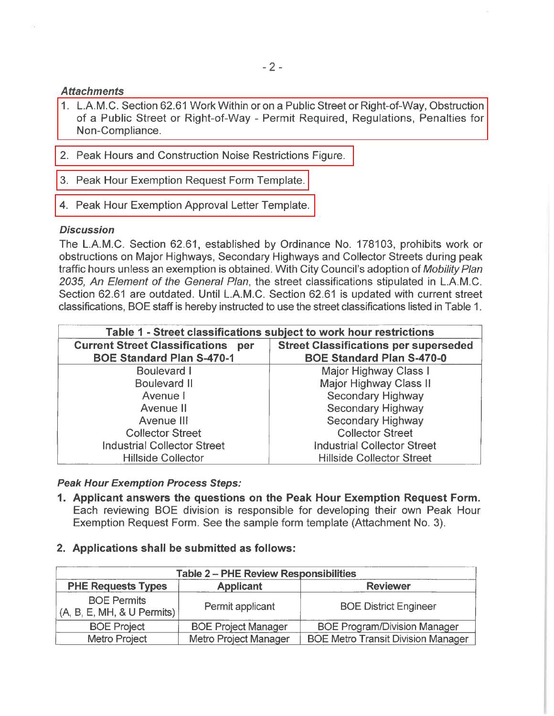# **Attachments**

- 1. L.A.M.C. Section 62.61 Work Within or on a Public Street or Right-of-Way, Obstruction of a Public Street or Right-of-Way - Permit Required, Regulations, Penalties for Non-Compliance.
- 2. Peak Hours and Construction Noise Restrictions Figure.
- 3. Peak Hour Exemption Request Form Template.
- 4. Peak Hour Exemption Approval Letter Template.

#### **Discussion**

The L.A.M.C. Section 62.61, established by Ordinance No. 178103, prohibits work or obstructions on Major Highways, Secondary Highways and Collector Streets during peak traffic hours unless an exemption is obtained. With City Council's adoption of Mobility Plan 2035, An Element of the General Plan, the street classifications stipulated in L.A.M.C. Section 62.61 are outdated. Until L.A.M.C. Section 62.61 is updated with current street classifications, BOE staff is hereby instructed to use the street classifications listed in Table 1.

|                                              | Table 1 - Street classifications subject to work hour restrictions |
|----------------------------------------------|--------------------------------------------------------------------|
| <b>Current Street Classifications</b><br>per | <b>Street Classifications per superseded</b>                       |
| <b>BOE Standard Plan S-470-1</b>             | <b>BOE Standard Plan S-470-0</b>                                   |
| <b>Boulevard I</b>                           | Major Highway Class I                                              |
| <b>Boulevard II</b>                          | Major Highway Class II                                             |
| Avenue I                                     | Secondary Highway                                                  |
| Avenue II                                    | <b>Secondary Highway</b>                                           |
| Avenue III                                   | Secondary Highway                                                  |
| <b>Collector Street</b>                      | <b>Collector Street</b>                                            |
| <b>Industrial Collector Street</b>           | <b>Industrial Collector Street</b>                                 |
| <b>Hillside Collector</b>                    | <b>Hillside Collector Street</b>                                   |

#### **Peak Hour Exemption Process Steps:**

- 1. Applicant answers the questions on the Peak Hour Exemption Request Form. Each reviewing BOE division is responsible for developing their own Peak Hour Exemption Request Form. See the sample form template (Attachment No. 3).
- 2. Applications shall be submitted as follows:

|                                                  | <b>Table 2 - PHE Review Responsibilities</b> |                                           |
|--------------------------------------------------|----------------------------------------------|-------------------------------------------|
| <b>PHE Requests Types</b>                        | <b>Applicant</b>                             | <b>Reviewer</b>                           |
| <b>BOE Permits</b><br>(A, B, E, MH, & U Permits) | Permit applicant                             | <b>BOE District Engineer</b>              |
| <b>BOE Project</b>                               | <b>BOE Project Manager</b>                   | <b>BOE Program/Division Manager</b>       |
| Metro Project                                    | <b>Metro Project Manager</b>                 | <b>BOE Metro Transit Division Manager</b> |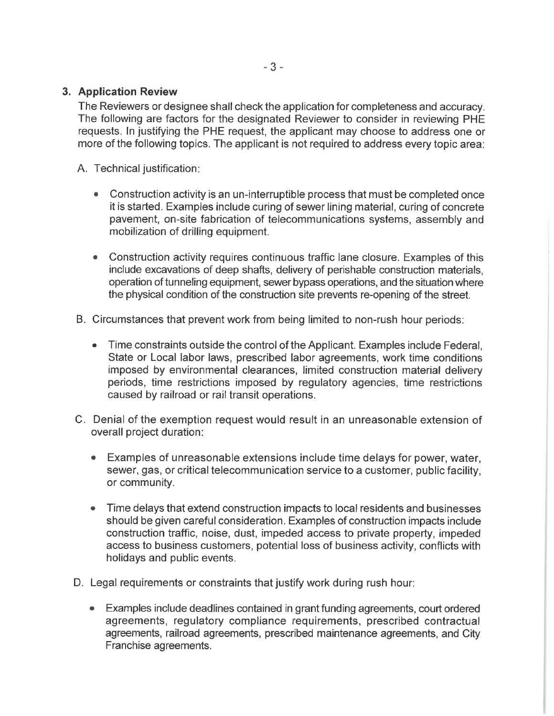### 3. Application Review

The Reviewers or designee shall check the application for completeness and accuracy. The following are factors for the designated Reviewer to consider in reviewing PHE requests. In justifying the PHE request, the applicant may choose to address one or more of the following topics. The applicant is not required to address every topic area:

A. Technical justification:

- Construction activity is an un-interruptible process that must be completed once it is started. Examples include curing of sewer lining material, curing of concrete pavement, on-site fabrication of telecommunications systems, assembly and mobilization of drilling equipment.
- Construction activity requires continuous traffic lane closure. Examples of this  $\bullet$ include excavations of deep shafts, delivery of perishable construction materials. operation of tunneling equipment, sewer bypass operations, and the situation where the physical condition of the construction site prevents re-opening of the street.
- B. Circumstances that prevent work from being limited to non-rush hour periods:
	- Time constraints outside the control of the Applicant. Examples include Federal, State or Local labor laws, prescribed labor agreements, work time conditions imposed by environmental clearances, limited construction material delivery periods, time restrictions imposed by regulatory agencies, time restrictions caused by railroad or rail transit operations.
- C. Denial of the exemption request would result in an unreasonable extension of overall project duration:
	- Examples of unreasonable extensions include time delays for power, water, sewer, gas, or critical telecommunication service to a customer, public facility. or community.
	- Time delays that extend construction impacts to local residents and businesses  $\bullet$ should be given careful consideration. Examples of construction impacts include construction traffic, noise, dust, impeded access to private property, impeded access to business customers, potential loss of business activity, conflicts with holidays and public events.
- D. Legal requirements or constraints that justify work during rush hour:
	- Examples include deadlines contained in grant funding agreements, court ordered agreements, regulatory compliance requirements, prescribed contractual agreements, railroad agreements, prescribed maintenance agreements, and City Franchise agreements.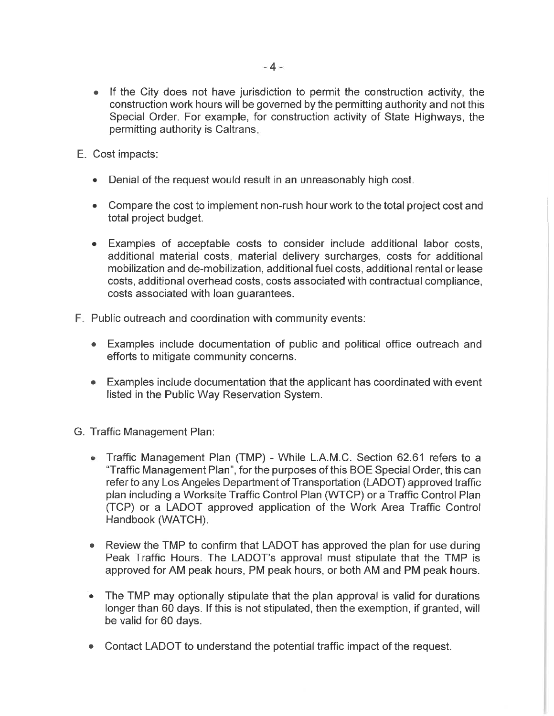- If the City does not have jurisdiction to permit the construction activity, the construction work hours will be governed by the permitting authority and not this Special Order. For example, for construction activity of State Highways, the permitting authority is Caltrans.
- E. Cost impacts:
	- Denial of the request would result in an unreasonably high cost.
	- Compare the cost to implement non-rush hour work to the total project cost and total project budget.
	- Examples of acceptable costs to consider include additional labor costs, additional material costs, material delivery surcharges, costs for additional mobilization and de-mobilization, additional fuel costs, additional rental or lease costs, additional overhead costs, costs associated with contractual compliance, costs associated with loan quarantees.
- F. Public outreach and coordination with community events:
	- Examples include documentation of public and political office outreach and efforts to mitigate community concerns.
	- Examples include documentation that the applicant has coordinated with event listed in the Public Way Reservation System.
- G. Traffic Management Plan:
	- Traffic Management Plan (TMP) While L.A.M.C. Section 62.61 refers to a "Traffic Management Plan", for the purposes of this BOE Special Order, this can refer to any Los Angeles Department of Transportation (LADOT) approved traffic plan including a Worksite Traffic Control Plan (WTCP) or a Traffic Control Plan (TCP) or a LADOT approved application of the Work Area Traffic Control Handbook (WATCH).
	- Review the TMP to confirm that LADOT has approved the plan for use during Peak Traffic Hours. The LADOT's approval must stipulate that the TMP is approved for AM peak hours, PM peak hours, or both AM and PM peak hours.
	- The TMP may optionally stipulate that the plan approval is valid for durations longer than 60 days. If this is not stipulated, then the exemption, if granted, will be valid for 60 days.
	- Contact LADOT to understand the potential traffic impact of the request.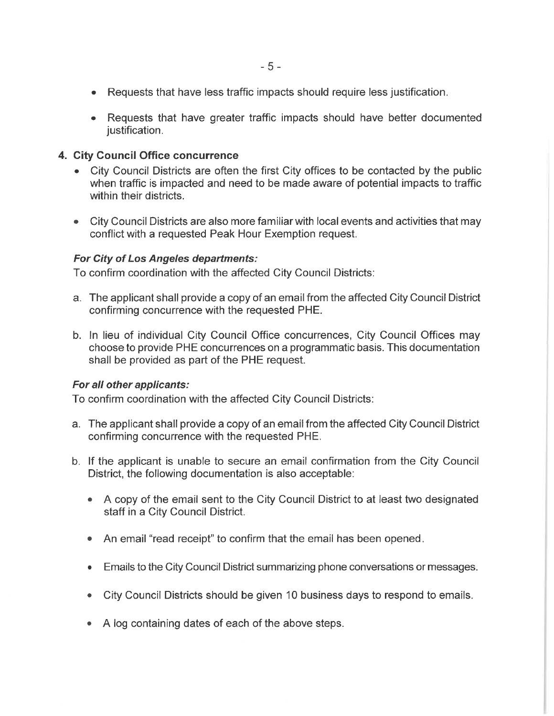- Requests that have less traffic impacts should require less justification.
- Requests that have greater traffic impacts should have better documented justification.

#### 4. City Council Office concurrence

- City Council Districts are often the first City offices to be contacted by the public when traffic is impacted and need to be made aware of potential impacts to traffic within their districts.
- City Council Districts are also more familiar with local events and activities that may conflict with a requested Peak Hour Exemption request.

#### For City of Los Angeles departments:

To confirm coordination with the affected City Council Districts:

- a. The applicant shall provide a copy of an email from the affected City Council District confirming concurrence with the requested PHE.
- b. In lieu of individual City Council Office concurrences, City Council Offices may choose to provide PHE concurrences on a programmatic basis. This documentation shall be provided as part of the PHE request.

#### For all other applicants:

To confirm coordination with the affected City Council Districts:

- a. The applicant shall provide a copy of an email from the affected City Council District confirming concurrence with the requested PHE.
- b. If the applicant is unable to secure an email confirmation from the City Council District, the following documentation is also acceptable:
	- A copy of the email sent to the City Council District to at least two designated staff in a City Council District.
	- An email "read receipt" to confirm that the email has been opened.
	- Emails to the City Council District summarizing phone conversations or messages.  $\bullet$
	- City Council Districts should be given 10 business days to respond to emails.  $\bullet$
	- A log containing dates of each of the above steps.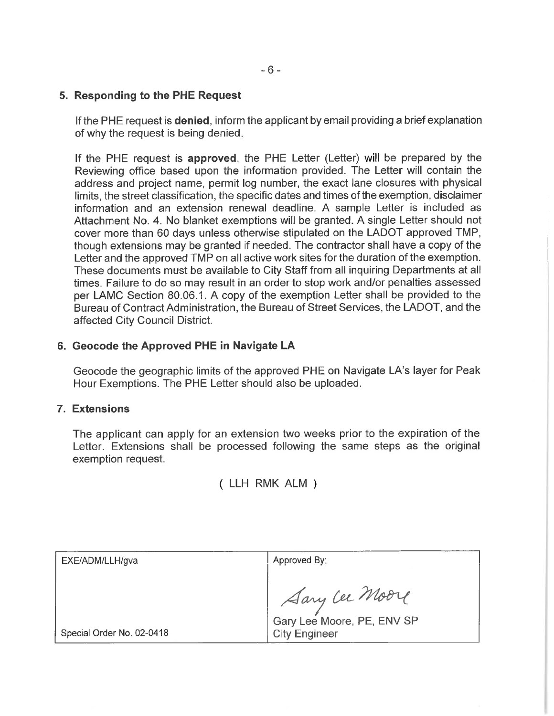#### 5. Responding to the PHE Request

If the PHE request is **denied**, inform the applicant by email providing a brief explanation of why the request is being denied.

If the PHE request is approved, the PHE Letter (Letter) will be prepared by the Reviewing office based upon the information provided. The Letter will contain the address and project name, permit log number, the exact lane closures with physical limits, the street classification, the specific dates and times of the exemption, disclaimer information and an extension renewal deadline. A sample Letter is included as Attachment No. 4. No blanket exemptions will be granted. A single Letter should not cover more than 60 days unless otherwise stipulated on the LADOT approved TMP. though extensions may be granted if needed. The contractor shall have a copy of the Letter and the approved TMP on all active work sites for the duration of the exemption. These documents must be available to City Staff from all inquiring Departments at all times. Failure to do so may result in an order to stop work and/or penalties assessed per LAMC Section 80.06.1. A copy of the exemption Letter shall be provided to the Bureau of Contract Administration, the Bureau of Street Services, the LADOT, and the affected City Council District.

#### 6. Geocode the Approved PHE in Navigate LA

Geocode the geographic limits of the approved PHE on Navigate LA's layer for Peak Hour Exemptions. The PHE Letter should also be uploaded.

#### 7. Extensions

The applicant can apply for an extension two weeks prior to the expiration of the Letter. Extensions shall be processed following the same steps as the original exemption request.

( LLH RMK ALM )

| EXE/ADM/LLH/gva           | Approved By:               |
|---------------------------|----------------------------|
|                           |                            |
|                           | Aary Lee Moore             |
|                           | Gary Lee Moore, PE, ENV SP |
| Special Order No. 02-0418 | <b>City Engineer</b>       |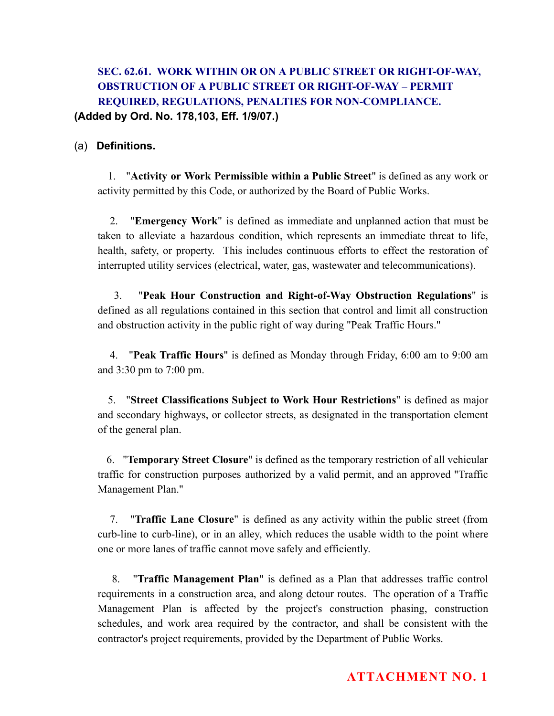# SEC. 62.61. WORK WITHIN OR ON A PUBLIC STREET OR RIGHT-OF-WAY, OBSTRUCTION OF A PUBLIC STREET OR RIGHT-OF-WAY – PERMIT REQUIRED, REGULATIONS, PENALTIES FOR NON-COMPLIANCE. (Added by Ord. No. 178,103, Eff. 1/9/07.)

#### (a) Definitions.

1. " Activity or Work Permissible within a Public Street " is defined as any work or activity permitted by this Code, or authorized by the Board of Public Works.

2. **"Emergency Work"** is defined as immediate and unplanned action that must be taken to alleviate a hazardous condition, which represents an immediate threat to life, health, safety, or property. This includes continuous efforts to effect the restoration of interrupted utility services (electrical, water, gas, wastewater and telecommunications).

3. "Peak Hour Construction and Right-of-Way Obstruction Regulations" is defined as all regulations contained in this section that control and limit all construction and obstruction activity in the public right of way during "Peak Traffic Hours."

4. **"Peak Traffic Hours"** is defined as Monday through Friday, 6:00 am to 9:00 am and 3:30 pm to 7:00 pm.

5. " Street Classifications Subject to Work Hour Restrictions " is defined as major and secondary highways, or collector streets, as designated in the transportation element of the general plan.

6. "Temporary Street Closure" is defined as the temporary restriction of all vehicular traffic for construction purposes authorized by a valid permit, and an approved "Traffic Management Plan."

7. "Traffic Lane Closure" is defined as any activity within the public street (from curb-line to curb-line), or in an alley, which reduces the usable width to the point where one or more lanes of traffic cannot move safely and efficiently.

8. " Traffic Management Plan " is defined as a Plan that addresses traffic control requirements in a construction area, and along detour routes. The operation of a Traffic Management Plan is affected by the project's construction phasing, construction schedules, and work area required by the contractor, and shall be consistent with the contractor's project requirements, provided by the Department of Public Works.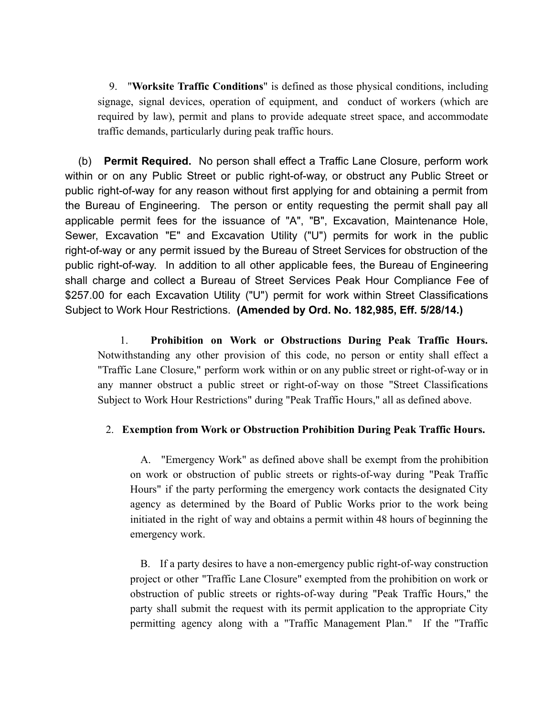9. "Worksite Traffic Conditions" is defined as those physical conditions, including signage, signal devices, operation of equipment, and conduct of workers (which are required by law), permit and plans to provide adequate street space, and accommodate traffic demands, particularly during peak traffic hours.

(b) Permit Required. No person shall effect a Traffic Lane Closure, perform work within or on any Public Street or public right-of-way, or obstruct any Public Street or public right-of-way for any reason without first applying for and obtaining a permit from the Bureau of Engineering. The person or entity requesting the permit shall pay all applicable permit fees for the issuance of "A", "B", Excavation, Maintenance Hole, Sewer, Excavation "E" and Excavation Utility ("U") permits for work in the public right-of-way or any permit issued by the Bureau of Street Services for obstruction of the public right-of-way. In addition to all other applicable fees, the Bureau of Engineering shall charge and collect a Bureau of Street Services Peak Hour Compliance Fee of \$257.00 for each Excavation Utility ("U") permit for work within Street Classifications Subject to Work Hour Restrictions. (Amended by Ord. No. 182,985, Eff. 5/28/14.)

1. Prohibition on Work or Obstructions During Peak Traffic Hours. Notwithstanding any other provision of this code, no person or entity shall effect a "Traffic Lane Closure," perform work within or on any public street or right-of-way or in any manner obstruct a public street or right-of-way on those "Street Classifications Subject to Work Hour Restrictions" during "Peak Traffic Hours," all as defined above.

#### 2. Exemption from Work or Obstruction Prohibition During Peak Traffic Hours.

A. "Emergency Work" as defined above shall be exempt from the prohibition on work or obstruction of public streets or rights-of-way during "Peak Traffic Hours" if the party performing the emergency work contacts the designated City agency as determined by the Board of Public Works prior to the work being initiated in the right of way and obtains a permit within 48 hours of beginning the emergency work.

B. If a party desires to have a non-emergency public right-of-way construction project or other "Traffic Lane Closure" exempted from the prohibition on work or obstruction of public streets or rights-of-way during "Peak Traffic Hours," the party shall submit the request with its permit application to the appropriate City permitting agency along with a "Traffic Management Plan." If the "Traffic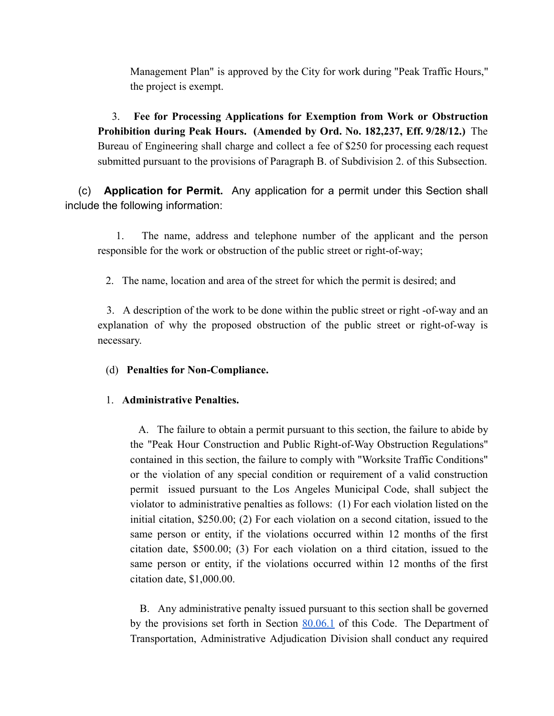Management Plan" is approved by the City for work during "Peak Traffic Hours," the project is exempt.

3. Fee for Processing Applications for Exemption from Work or Obstruction Prohibition during Peak Hours. (Amended by Ord. No. 182,237, Eff. 9/28/12.) The Bureau of Engineering shall charge and collect a fee of \$250 for processing each request submitted pursuant to the provisions of Paragraph B. of Subdivision 2. of this Subsection.

(c) Application for Permit. Any application for a permit under this Section shall include the following information:

1. The name, address and telephone number of the applicant and the person responsible for the work or obstruction of the public street or right-of-way;

2. The name, location and area of the street for which the permit is desired; and

3. A description of the work to be done within the public street or right -of-way and an explanation of why the proposed obstruction of the public street or right-of-way is necessary.

(d) Penalties for Non-Compliance.

#### 1. Administrative Penalties.

A. The failure to obtain a permit pursuant to this section, the failure to abide by the "Peak Hour Construction and Public Right-of-Way Obstruction Regulations" contained in this section, the failure to comply with "Worksite Traffic Conditions" or the violation of any special condition or requirement of a valid construction permit issued pursuant to the Los Angeles Municipal Code, shall subject the violator to administrative penalties as follows: (1) For each violation listed on the initial citation, \$250.00; (2) For each violation on a second citation, issued to the same person or entity, if the violations occurred within 12 months of the first citation date, \$500.00; (3) For each violation on a third citation, issued to the same person or entity, if the violations occurred within 12 months of the first citation date, \$1,000.00.

B. Any administrative penalty issued pursuant to this section shall be governed by the provisions set forth in Section  $80.06.1$  of this Code. The Department of Transportation, Administrative Adjudication Division shall conduct any required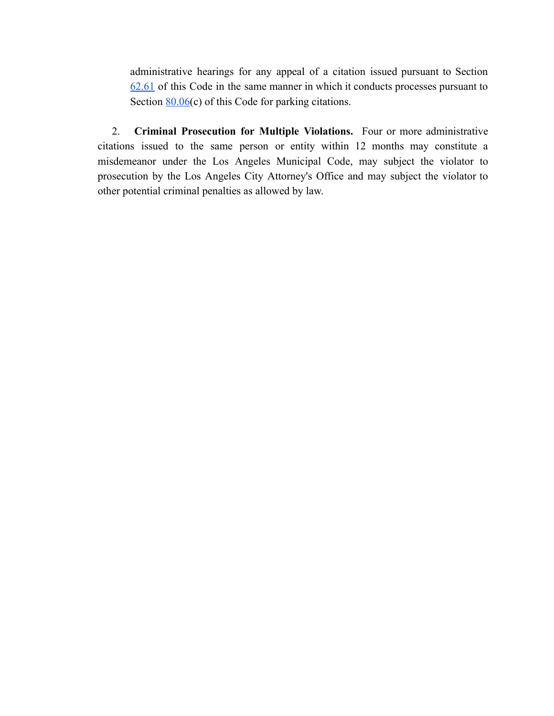administrative hearings for any appeal of a citation issued pursuant to Section [62.61](http://www.amlegal.com/nxt/gateway.dll?f=jumplink$jumplink_x=Advanced$jumplink_vpc=first$jumplink_xsl=querylink.xsl$jumplink_sel=title;path;content-type;home-title;item-bookmark$jumplink_d=california(lamc)$jumplink_q=[field%20folio-destination-name:%2762.61.%27]$jumplink_md=target-id=JD_62.61.) of this Code in the same manner in which it conducts processes pursuant to Section  $80.06(c)$  of this Code for parking citations.

2. Criminal Prosecution for Multiple Violations. Four or more administrative citations issued to the same person or entity within 12 months may constitute a misdemeanor under the Los Angeles Municipal Code, may subject the violator to prosecution by the Los Angeles City Attorney's Office and may subject the violator to other potential criminal penalties as allowed by law.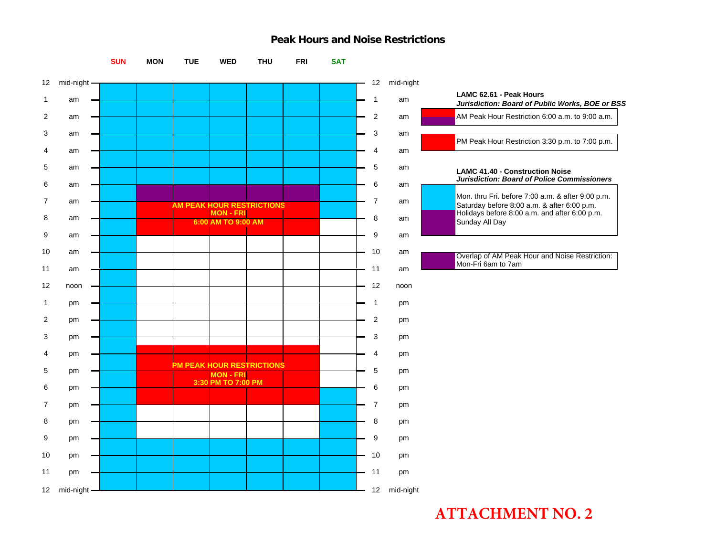#### **Peak Hours and Noise Restrictions**



# **ATTACHMENT NO. 2**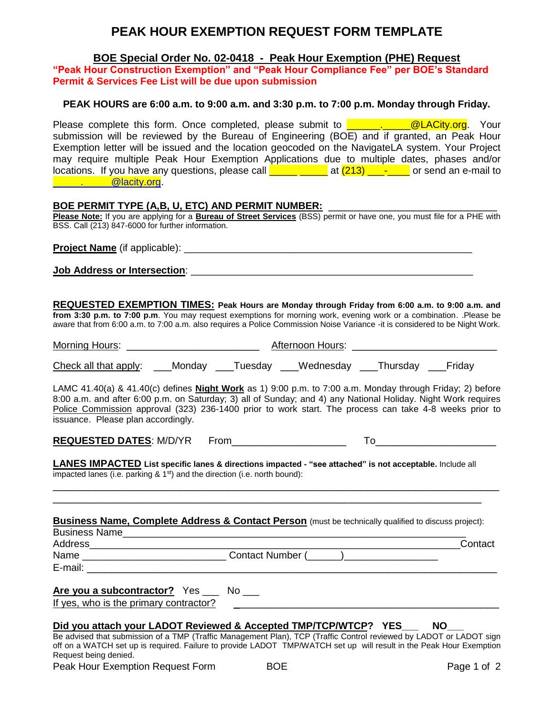# **PEAK HOUR EXEMPTION REQUEST FORM TEMPLATE**

**BOE Special Order No. 02-0418 - Peak Hour Exemption (PHE) Request**

**"Peak Hour Construction Exemption" and "Peak Hour Compliance Fee" per BOE's Standard Permit & Services Fee List will be due upon submission**

#### **PEAK HOURS are 6:00 a.m. to 9:00 a.m. and 3:30 p.m. to 7:00 p.m. Monday through Friday.**

Please complete this form. Once completed, please submit to **Example 2** @LACity.org. Your submission will be reviewed by the Bureau of Engineering (BOE) and if granted, an Peak Hour Exemption letter will be issued and the location geocoded on the NavigateLA system. Your Project may require multiple Peak Hour Exemption Applications due to multiple dates, phases and/or locations. If you have any questions, please call  $\begin{array}{ccc} \hline \end{array}$  at  $(213)$   $\begin{array}{ccc} \hline \end{array}$  or send an e-mail to [\\_\\_\\_\\_\\_.\\_\\_\\_\\_\\_@lacity.org.](mailto:_____._____@lacity.org)

#### **BOE PERMIT TYPE (A,B, U, ETC) AND PERMIT NUMBER:** \_\_\_\_\_\_\_\_\_\_\_\_\_\_\_\_\_\_\_\_\_\_\_\_\_\_\_\_

**Please Note:** If you are applying for a **Bureau of Street Services** (BSS) permit or have one, you must file for a PHE with BSS. Call (213) 847-6000 for further information.

**Project Name** (if applicable): **with a set of a set of a set of a set of a set of a set of a set of a set of a set of a set of a set of a set of a set of a set of a set of a set of a set of a set of a set of a set of a se** 

**Job Address or Intersection**: \_\_\_\_\_\_\_\_\_\_\_\_\_\_\_\_\_\_\_\_\_\_\_\_\_\_\_\_\_\_\_\_\_\_\_\_\_\_\_\_\_\_\_\_\_\_\_\_\_\_\_

**REQUESTED EXEMPTION TIMES: Peak Hours are Monday through Friday from 6:00 a.m. to 9:00 a.m. and from 3:30 p.m. to 7:00 p.m**. You may request exemptions for morning work, evening work or a combination. .Please be aware that from 6:00 a.m. to 7:00 a.m. also requires a Police Commission Noise Variance -it is considered to be Night Work.

| Morning Hours:                                                                             |  | Afternoon Hours: |  |
|--------------------------------------------------------------------------------------------|--|------------------|--|
| <u>Check all that apply</u> : ____Monday ____Tuesday ____Wednesday ____Thursday ____Friday |  |                  |  |
|                                                                                            |  |                  |  |

LAMC 41.40(a) & 41.40(c) defines **Night Work** as 1) 9:00 p.m. to 7:00 a.m. Monday through Friday; 2) before 8:00 a.m. and after 6:00 p.m. on Saturday; 3) all of Sunday; and 4) any National Holiday. Night Work requires Police Commission approval (323) 236-1400 prior to work start. The process can take 4-8 weeks prior to issuance. Please plan accordingly.

**REQUESTED DATES:** M/D/YR From To

\_\_\_\_\_\_\_\_\_\_\_\_\_\_\_\_\_\_\_\_\_\_\_\_\_\_\_\_\_\_\_\_\_\_\_\_\_\_\_\_\_\_\_\_\_\_\_\_\_\_\_\_\_\_\_\_\_\_\_\_\_\_\_\_\_\_\_\_\_\_\_\_\_\_ \_\_\_\_\_\_\_\_\_\_\_\_\_\_\_\_\_\_\_\_\_\_\_\_\_\_\_\_\_\_\_\_\_\_\_\_\_\_\_\_\_\_\_\_\_\_\_\_\_\_\_\_\_\_\_\_\_\_\_\_\_\_\_\_\_\_\_\_\_\_\_

**LANES IMPACTED List specific lanes & directions impacted - "see attached" is not acceptable.** Include all impacted lanes (i.e. parking  $& 1<sup>st</sup>$ ) and the direction (i.e. north bound):

|--|

Business Name\_\_\_\_\_\_\_\_\_\_\_\_\_\_\_\_\_\_\_\_\_\_\_\_\_\_\_\_\_\_\_\_\_\_\_\_\_\_\_\_\_\_\_\_\_\_\_\_\_\_\_\_\_\_\_\_\_\_\_\_\_\_

Address\_\_\_\_\_\_\_\_\_\_\_\_\_\_\_\_\_\_\_\_\_\_\_\_\_\_\_\_\_\_\_\_\_\_\_\_\_\_\_\_\_\_\_\_\_\_\_\_\_\_\_\_\_\_\_\_\_\_\_\_\_\_\_\_\_\_\_Contact

Name example and the Contact Number (contact 1 and the contact Number (contact 1 and the contact 1 and the contact Number (contact 1 and the contact 1 and the contact Number (contact 1 and the contact 1 and the contact 1 a

E-mail: **E-mail:**  $\overline{E}$ 

**Are you a subcontractor?** Yes \_\_\_ No \_\_\_

If yes, who is the primary contractor?

#### **Did you attach your LADOT Reviewed & Accepted TMP/TCP/WTCP? YES\_\_\_ NO\_\_\_**

Be advised that submission of a TMP (Traffic Management Plan), TCP (Traffic Control reviewed by LADOT or LADOT sign off on a WATCH set up is required. Failure to provide LADOT TMP/WATCH set up will result in the Peak Hour Exemption Request being denied.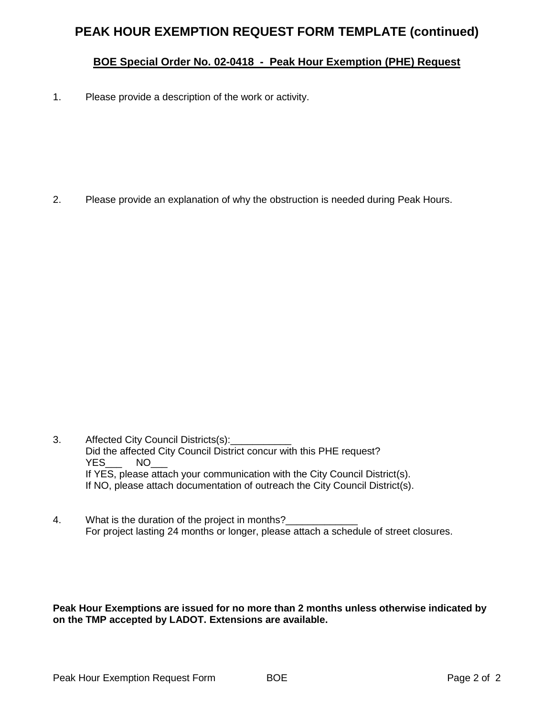# **PEAK HOUR EXEMPTION REQUEST FORM TEMPLATE (continued)**

## **BOE Special Order No. 02-0418 - Peak Hour Exemption (PHE) Request**

1. Please provide a description of the work or activity.

2. Please provide an explanation of why the obstruction is needed during Peak Hours.

- 3. Affected City Council Districts(s): Did the affected City Council District concur with this PHE request? YES\_\_\_ NO\_ If YES, please attach your communication with the City Council District(s). If NO, please attach documentation of outreach the City Council District(s).
- 4. What is the duration of the project in months? For project lasting 24 months or longer, please attach a schedule of street closures.

**Peak Hour Exemptions are issued for no more than 2 months unless otherwise indicated by on the TMP accepted by LADOT. Extensions are available.**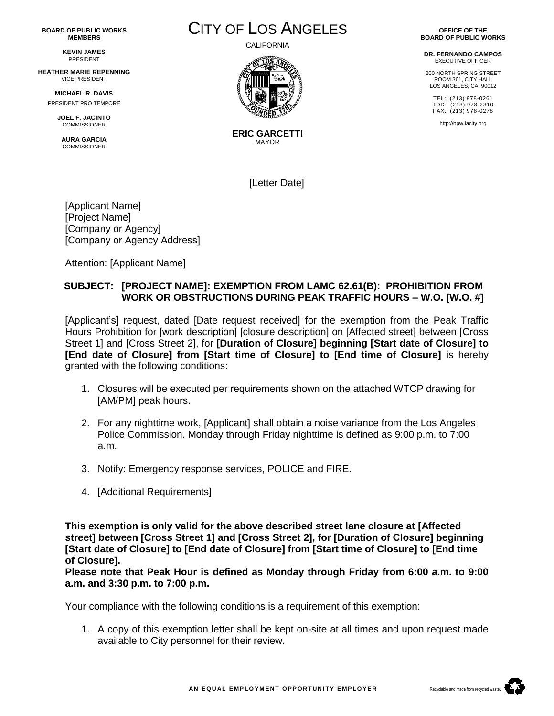**BOARD OF PUBLIC WORKS MEMBERS**

> **KEVIN JAMES** PRESIDENT

**HEATHER MARIE REPENNING** VICE PRESIDENT

**MICHAEL R. DAVIS** PRESIDENT PRO TEMPORE

> **JOEL F. JACINTO COMMISSIONER**

**AURA GARCIA COMMISSIONER** 



CALIFORNIA



**ERIC GARCETTI** MAYOR

[Letter Date]

[Applicant Name] [Project Name] [Company or Agency] [Company or Agency Address]

Attention: [Applicant Name]

#### **SUBJECT: [PROJECT NAME]: EXEMPTION FROM LAMC 62.61(B): PROHIBITION FROM WORK OR OBSTRUCTIONS DURING PEAK TRAFFIC HOURS – W.O. [W.O. #]**

[Applicant's] request, dated [Date request received] for the exemption from the Peak Traffic Hours Prohibition for [work description] [closure description] on [Affected street] between [Cross Street 1] and [Cross Street 2], for **[Duration of Closure] beginning [Start date of Closure] to [End date of Closure] from [Start time of Closure] to [End time of Closure]** is hereby granted with the following conditions:

- 1. Closures will be executed per requirements shown on the attached WTCP drawing for [AM/PM] peak hours.
- 2. For any nighttime work, [Applicant] shall obtain a noise variance from the Los Angeles Police Commission. Monday through Friday nighttime is defined as 9:00 p.m. to 7:00 a.m.
- 3. Notify: Emergency response services, POLICE and FIRE.
- 4. [Additional Requirements]

**This exemption is only valid for the above described street lane closure at [Affected street] between [Cross Street 1] and [Cross Street 2], for [Duration of Closure] beginning [Start date of Closure] to [End date of Closure] from [Start time of Closure] to [End time of Closure].**

**Please note that Peak Hour is defined as Monday through Friday from 6:00 a.m. to 9:00 a.m. and 3:30 p.m. to 7:00 p.m.**

Your compliance with the following conditions is a requirement of this exemption:

1. A copy of this exemption letter shall be kept on-site at all times and upon request made available to City personnel for their review.

**OFFICE OF THE BOARD OF PUBLIC WORKS**

**DR. FERNANDO CAMPOS** EXECUTIVE OFFICER

200 NORTH SPRING STREET ROOM 361, CITY HALL LOS ANGELES, CA 90012

TEL: (213) 978-0261 TDD: (213) 978-2310 FAX: (213) 978-0278

http://bpw.lacity.org